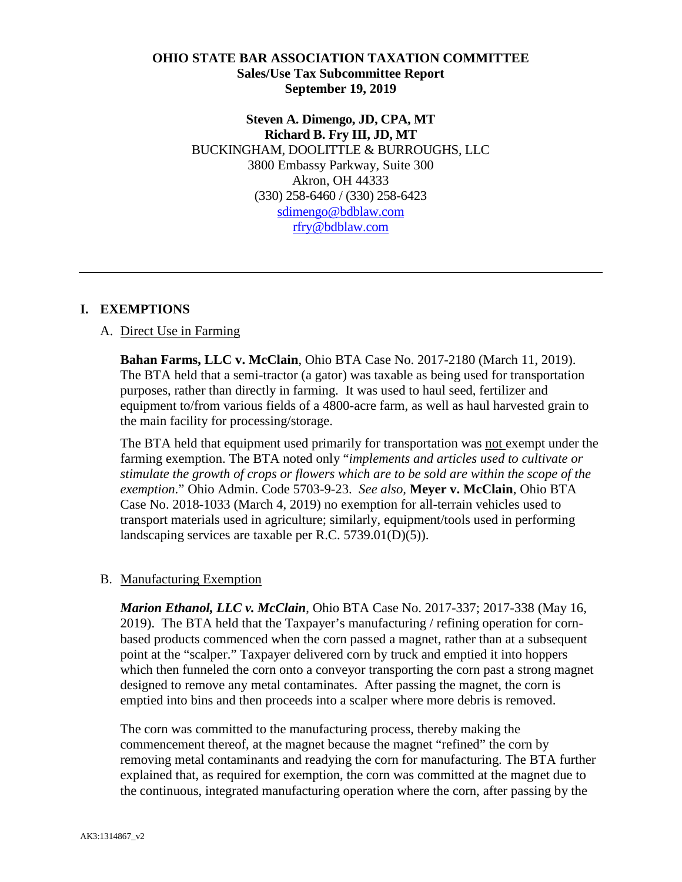### **OHIO STATE BAR ASSOCIATION TAXATION COMMITTEE Sales/Use Tax Subcommittee Report September 19, 2019**

**Steven A. Dimengo, JD, CPA, MT Richard B. Fry III, JD, MT** BUCKINGHAM, DOOLITTLE & BURROUGHS, LLC 3800 Embassy Parkway, Suite 300 Akron, OH 44333 (330) 258-6460 / (330) 258-6423 [sdimengo@bdblaw.com](mailto:sdimengo@bdblaw.com) [rfry@bdblaw.com](mailto:rfry@bdblaw.com)

# **I. EXEMPTIONS**

### A. Direct Use in Farming

**Bahan Farms, LLC v. McClain**, Ohio BTA Case No. 2017-2180 (March 11, 2019). The BTA held that a semi-tractor (a gator) was taxable as being used for transportation purposes, rather than directly in farming. It was used to haul seed, fertilizer and equipment to/from various fields of a 4800-acre farm, as well as haul harvested grain to the main facility for processing/storage.

The BTA held that equipment used primarily for transportation was not exempt under the farming exemption. The BTA noted only "*implements and articles used to cultivate or stimulate the growth of crops or flowers which are to be sold are within the scope of the exemption*." Ohio Admin. Code 5703-9-23. *See also,* **Meyer v. McClain**, Ohio BTA Case No. 2018-1033 (March 4, 2019) no exemption for all-terrain vehicles used to transport materials used in agriculture; similarly, equipment/tools used in performing landscaping services are taxable per R.C. 5739.01(D)(5)).

### B. Manufacturing Exemption

*Marion Ethanol, LLC v. McClain*, Ohio BTA Case No. 2017-337; 2017-338 (May 16, 2019). The BTA held that the Taxpayer's manufacturing / refining operation for cornbased products commenced when the corn passed a magnet, rather than at a subsequent point at the "scalper." Taxpayer delivered corn by truck and emptied it into hoppers which then funneled the corn onto a conveyor transporting the corn past a strong magnet designed to remove any metal contaminates. After passing the magnet, the corn is emptied into bins and then proceeds into a scalper where more debris is removed.

The corn was committed to the manufacturing process, thereby making the commencement thereof, at the magnet because the magnet "refined" the corn by removing metal contaminants and readying the corn for manufacturing. The BTA further explained that, as required for exemption, the corn was committed at the magnet due to the continuous, integrated manufacturing operation where the corn, after passing by the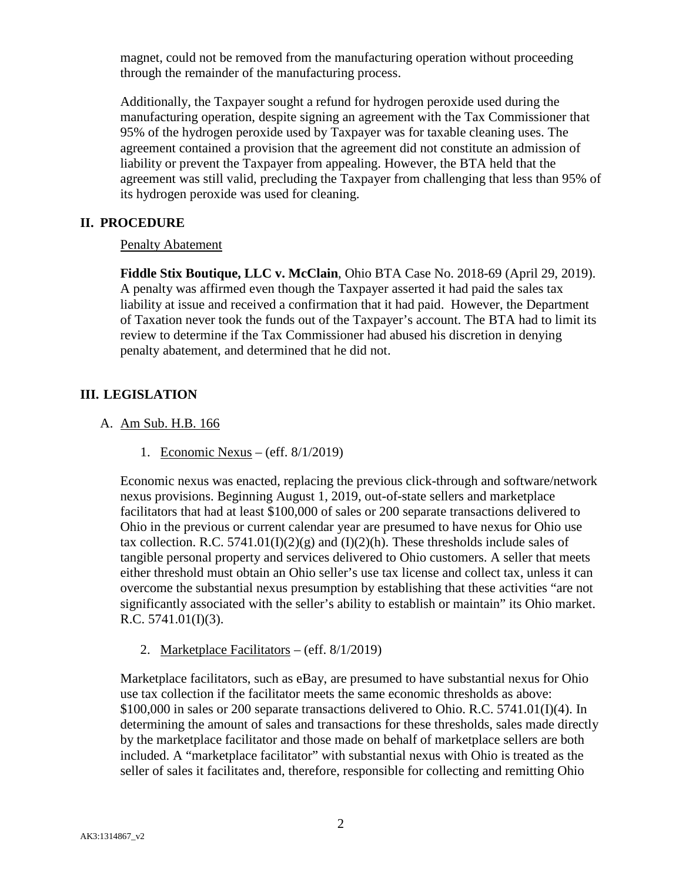magnet, could not be removed from the manufacturing operation without proceeding through the remainder of the manufacturing process.

Additionally, the Taxpayer sought a refund for hydrogen peroxide used during the manufacturing operation, despite signing an agreement with the Tax Commissioner that 95% of the hydrogen peroxide used by Taxpayer was for taxable cleaning uses. The agreement contained a provision that the agreement did not constitute an admission of liability or prevent the Taxpayer from appealing. However, the BTA held that the agreement was still valid, precluding the Taxpayer from challenging that less than 95% of its hydrogen peroxide was used for cleaning.

# **II. PROCEDURE**

# Penalty Abatement

**Fiddle Stix Boutique, LLC v. McClain**, Ohio BTA Case No. 2018-69 (April 29, 2019). A penalty was affirmed even though the Taxpayer asserted it had paid the sales tax liability at issue and received a confirmation that it had paid. However, the Department of Taxation never took the funds out of the Taxpayer's account. The BTA had to limit its review to determine if the Tax Commissioner had abused his discretion in denying penalty abatement, and determined that he did not.

# **III. LEGISLATION**

- A. Am Sub. H.B. 166
	- 1. Economic Nexus (eff. 8/1/2019)

Economic nexus was enacted, replacing the previous click-through and software/network nexus provisions. Beginning August 1, 2019, out-of-state sellers and marketplace facilitators that had at least \$100,000 of sales or 200 separate transactions delivered to Ohio in the previous or current calendar year are presumed to have nexus for Ohio use tax collection. R.C. 5741.01(I)(2)(g) and (I)(2)(h). These thresholds include sales of tangible personal property and services delivered to Ohio customers. A seller that meets either threshold must obtain an Ohio seller's use tax license and collect tax, unless it can overcome the substantial nexus presumption by establishing that these activities "are not significantly associated with the seller's ability to establish or maintain" its Ohio market. R.C.  $5741.01(I)(3)$ .

2. Marketplace Facilitators – (eff. 8/1/2019)

Marketplace facilitators, such as eBay, are presumed to have substantial nexus for Ohio use tax collection if the facilitator meets the same economic thresholds as above: \$100,000 in sales or 200 separate transactions delivered to Ohio. R.C. 5741.01(I)(4). In determining the amount of sales and transactions for these thresholds, sales made directly by the marketplace facilitator and those made on behalf of marketplace sellers are both included. A "marketplace facilitator" with substantial nexus with Ohio is treated as the seller of sales it facilitates and, therefore, responsible for collecting and remitting Ohio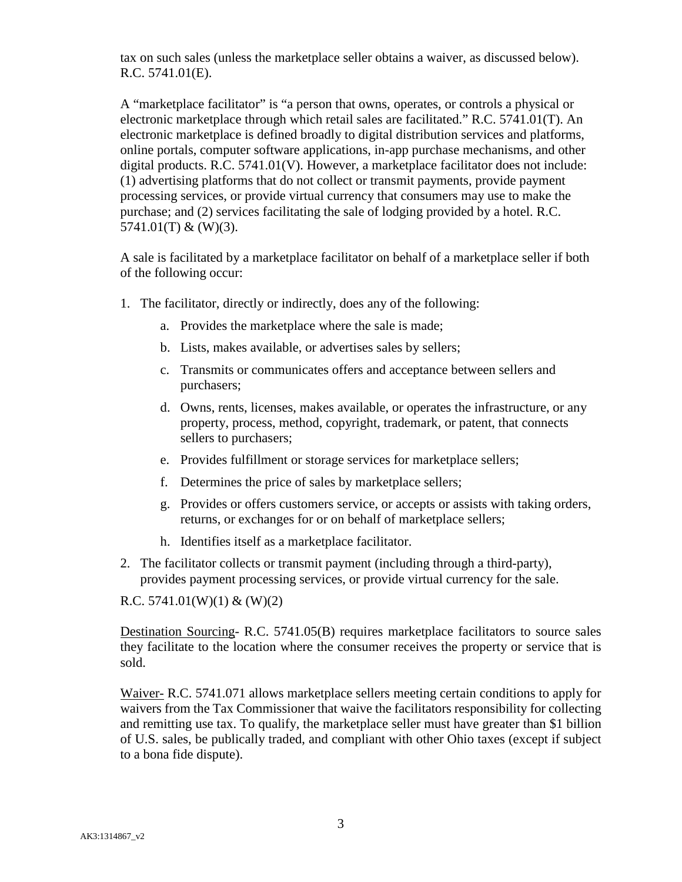tax on such sales (unless the marketplace seller obtains a waiver, as discussed below). R.C. 5741.01(E).

A "marketplace facilitator" is "a person that owns, operates, or controls a physical or electronic marketplace through which retail sales are facilitated." R.C. 5741.01(T). An electronic marketplace is defined broadly to digital distribution services and platforms, online portals, computer software applications, in-app purchase mechanisms, and other digital products. R.C. 5741.01(V). However, a marketplace facilitator does not include: (1) advertising platforms that do not collect or transmit payments, provide payment processing services, or provide virtual currency that consumers may use to make the purchase; and (2) services facilitating the sale of lodging provided by a hotel. R.C.  $5741.01(T)$  & (W)(3).

A sale is facilitated by a marketplace facilitator on behalf of a marketplace seller if both of the following occur:

- 1. The facilitator, directly or indirectly, does any of the following:
	- a. Provides the marketplace where the sale is made;
	- b. Lists, makes available, or advertises sales by sellers;
	- c. Transmits or communicates offers and acceptance between sellers and purchasers;
	- d. Owns, rents, licenses, makes available, or operates the infrastructure, or any property, process, method, copyright, trademark, or patent, that connects sellers to purchasers;
	- e. Provides fulfillment or storage services for marketplace sellers;
	- f. Determines the price of sales by marketplace sellers;
	- g. Provides or offers customers service, or accepts or assists with taking orders, returns, or exchanges for or on behalf of marketplace sellers;
	- h. Identifies itself as a marketplace facilitator.
- 2. The facilitator collects or transmit payment (including through a third-party), provides payment processing services, or provide virtual currency for the sale.

### R.C.  $5741.01(W)(1) & (W)(2)$

Destination Sourcing- R.C. 5741.05(B) requires marketplace facilitators to source sales they facilitate to the location where the consumer receives the property or service that is sold.

Waiver- R.C. 5741.071 allows marketplace sellers meeting certain conditions to apply for waivers from the Tax Commissioner that waive the facilitators responsibility for collecting and remitting use tax. To qualify, the marketplace seller must have greater than \$1 billion of U.S. sales, be publically traded, and compliant with other Ohio taxes (except if subject to a bona fide dispute).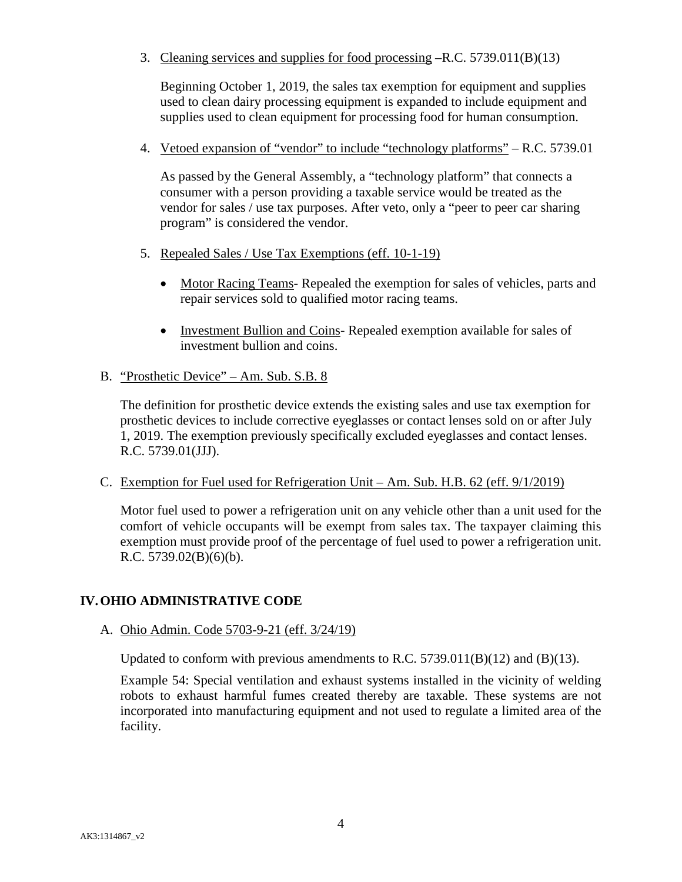3. Cleaning services and supplies for food processing –R.C. 5739.011(B)(13)

Beginning October 1, 2019, the sales tax exemption for equipment and supplies used to clean dairy processing equipment is expanded to include equipment and supplies used to clean equipment for processing food for human consumption.

4. Vetoed expansion of "vendor" to include "technology platforms" – R.C. 5739.01

As passed by the General Assembly, a "technology platform" that connects a consumer with a person providing a taxable service would be treated as the vendor for sales / use tax purposes. After veto, only a "peer to peer car sharing program" is considered the vendor.

- 5. Repealed Sales / Use Tax Exemptions (eff. 10-1-19)
	- Motor Racing Teams- Repealed the exemption for sales of vehicles, parts and repair services sold to qualified motor racing teams.
	- Investment Bullion and Coins- Repealed exemption available for sales of investment bullion and coins.
- B. "Prosthetic Device" Am. Sub. S.B. 8

The definition for prosthetic device extends the existing sales and use tax exemption for prosthetic devices to include corrective eyeglasses or contact lenses sold on or after July 1, 2019. The exemption previously specifically excluded eyeglasses and contact lenses. R.C. 5739.01(JJJ).

C. Exemption for Fuel used for Refrigeration Unit – Am. Sub. H.B. 62 (eff. 9/1/2019)

Motor fuel used to power a refrigeration unit on any vehicle other than a unit used for the comfort of vehicle occupants will be exempt from sales tax. The taxpayer claiming this exemption must provide proof of the percentage of fuel used to power a refrigeration unit. R.C. 5739.02(B)(6)(b).

# **IV.OHIO ADMINISTRATIVE CODE**

A. Ohio Admin. Code 5703-9-21 (eff. 3/24/19)

Updated to conform with previous amendments to R.C.  $5739.011(B)(12)$  and  $(B)(13)$ .

Example 54: Special ventilation and exhaust systems installed in the vicinity of welding robots to exhaust harmful fumes created thereby are taxable. These systems are not incorporated into manufacturing equipment and not used to regulate a limited area of the facility.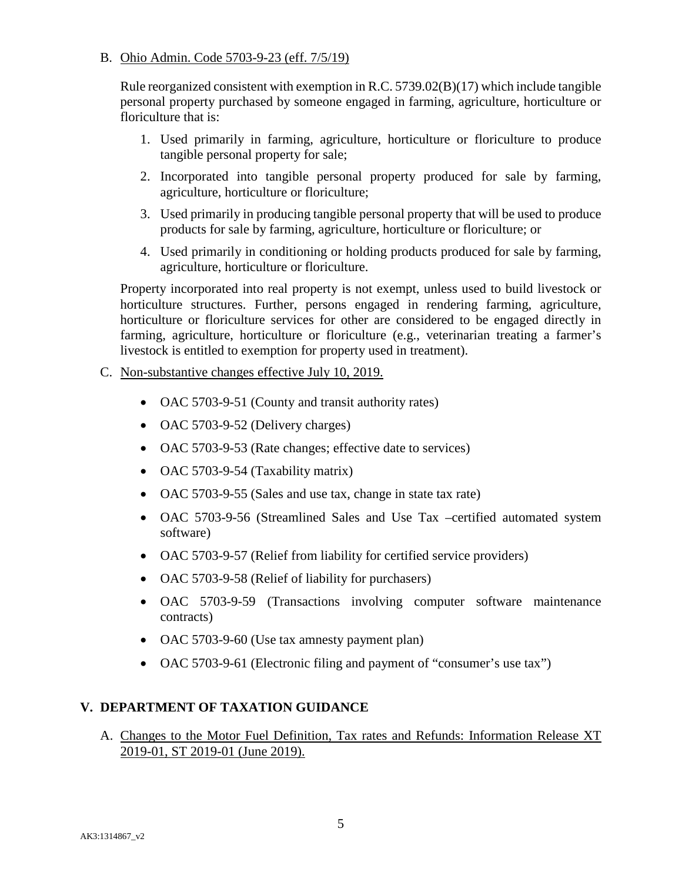# B. Ohio Admin. Code 5703-9-23 (eff. 7/5/19)

Rule reorganized consistent with exemption in R.C. 5739.02(B)(17) which include tangible personal property purchased by someone engaged in farming, agriculture, horticulture or floriculture that is:

- 1. Used primarily in farming, agriculture, horticulture or floriculture to produce tangible personal property for sale;
- 2. Incorporated into tangible personal property produced for sale by farming, agriculture, horticulture or floriculture;
- 3. Used primarily in producing tangible personal property that will be used to produce products for sale by farming, agriculture, horticulture or floriculture; or
- 4. Used primarily in conditioning or holding products produced for sale by farming, agriculture, horticulture or floriculture.

Property incorporated into real property is not exempt, unless used to build livestock or horticulture structures. Further, persons engaged in rendering farming, agriculture, horticulture or floriculture services for other are considered to be engaged directly in farming, agriculture, horticulture or floriculture (e.g., veterinarian treating a farmer's livestock is entitled to exemption for property used in treatment).

# C. Non-substantive changes effective July 10, 2019.

- OAC 5703-9-51 (County and transit authority rates)
- OAC 5703-9-52 (Delivery charges)
- OAC 5703-9-53 (Rate changes; effective date to services)
- OAC 5703-9-54 (Taxability matrix)
- OAC 5703-9-55 (Sales and use tax, change in state tax rate)
- OAC 5703-9-56 (Streamlined Sales and Use Tax –certified automated system software)
- OAC 5703-9-57 (Relief from liability for certified service providers)
- OAC 5703-9-58 (Relief of liability for purchasers)
- OAC 5703-9-59 (Transactions involving computer software maintenance contracts)
- OAC 5703-9-60 (Use tax amnesty payment plan)
- OAC 5703-9-61 (Electronic filing and payment of "consumer's use tax")

# **V. DEPARTMENT OF TAXATION GUIDANCE**

A. Changes to the Motor Fuel Definition, Tax rates and Refunds: Information Release XT 2019-01, ST 2019-01 (June 2019).